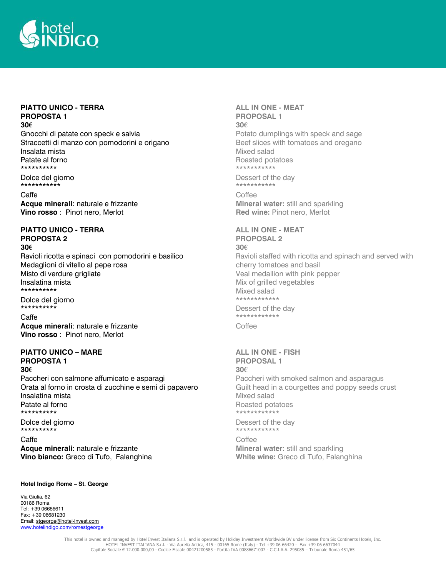

# **PIATTO UNICO - TERRA PROPOSTA 1**

## **30€**

Gnocchi di patate con speck e salvia Straccetti di manzo con pomodorini e origano Insalata mista Patate al forno \*\*\*\*\*\*\*\*\*\*

Dolce del giorno \*\*\*\*\*\*\*\*\*\*\*

Caffe **Acque minerali**: naturale e frizzante **Vino rosso** : Pinot nero, Merlot

### **PIATTO UNICO - TERRA PROPOSTA 2 30€**

Ravioli ricotta e spinaci con pomodorini e basilico Medaglioni di vitello al pepe rosa Misto di verdure grigliate Insalatina mista \*\*\*\*\*\*\*\*\*\*

Dolce del giorno \*\*\*\*\*\*\*\*\*\*

Caffe

**Acque minerali**: naturale e frizzante **Vino rosso** : Pinot nero, Merlot

### **PIATTO UNICO – MARE PROPOSTA 1 30€**

Paccheri con salmone affumicato e asparagi Orata al forno in crosta di zucchine e semi di papavero Insalatina mista Patate al forno \*\*\*\*\*\*\*\*\*\*

Dolce del giorno \*\*\*\*\*\*\*\*\*\*

Caffe **Acque minerali**: naturale e frizzante **Vino bianco:** Greco di Tufo, Falanghina

#### **ALL IN ONE - MEAT PROPOSAL 1 30€**

Potato dumplings with speck and sage Beef slices with tomatoes and oregano Mixed salad Roasted potatoes \*\*\*\*\*\*\*\*\*\*\*

Dessert of the day \*\*\*\*\*\*\*\*\*\*\*

Coffee **Mineral water:** still and sparkling **Red wine:** Pinot nero, Merlot

#### **ALL IN ONE - MEAT PROPOSAL 2**

**30€** Ravioli staffed with ricotta and spinach and served with cherry tomatoes and basil Veal medallion with pink pepper Mix of grilled vegetables Mixed salad \*\*\*\*\*\*\*\*\*\*\*\*

Dessert of the day \*\*\*\*\*\*\*\*\*\*\*\* **Coffee** 

## **ALL IN ONE - FISH PROPOSAL 1 30€**

Paccheri with smoked salmon and asparagus Guilt head in a courgettes and poppy seeds crust Mixed salad Roasted potatoes \*\*\*\*\*\*\*\*\*\*\*\*

Dessert of the day \*\*\*\*\*\*\*\*\*\*\*\*

Coffee **Mineral water:** still and sparkling **White wine:** Greco di Tufo, Falanghina

#### **Hotel Indigo Rome – St. George**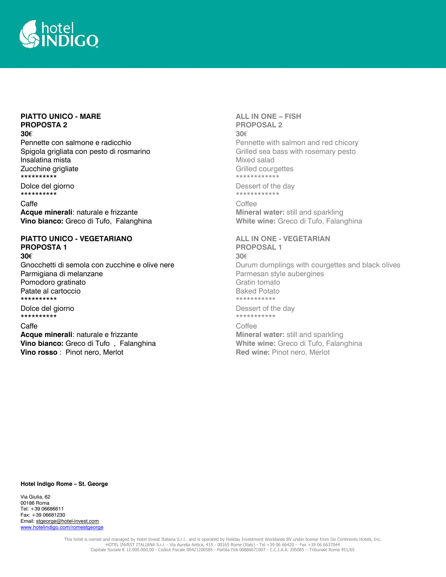

# **PIATTO UNICO - MARE PROPOSTA 2**

### **30€**

Pennette con salmone e radicchio Spigola grigliata con pesto di rosmarino Insalatina mista Zucchine grigliate \*\*\*\*\*\*\*\*\*\*

Dolce del giorno \*\*\*\*\*\*\*\*\*\*

Caffe

**Acque minerali**: naturale e frizzante **Vino bianco:** Greco di Tufo, Falanghina

## **PIATTO UNICO - VEGETARIANO PROPOSTA 1**

**30€**

Gnocchetti di semola con zucchine e olive nere Parmigiana di melanzane Pomodoro gratinato Patate al cartoccio \*\*\*\*\*\*\*\*\*\*

Dolce del giorno \*\*\*\*\*\*\*\*\*\*

#### Caffe

**Acque minerali**: naturale e frizzante **Vino bianco:** Greco di Tufo , Falanghina **Vino rosso** : Pinot nero, Merlot

### **ALL IN ONE – FISH PROPOSAL 2 30€** Pennette with salmon and red chicory Grilled sea bass with rosemary pesto Mixed salad Grilled courgettes \*\*\*\*\*\*\*\*\*\*\*\*

Dessert of the day \*\*\*\*\*\*\*\*\*\*\*\*

**Coffee Mineral water:** still and sparkling **White wine:** Greco di Tufo, Falanghina

# **ALL IN ONE - VEGETARIAN**

**PROPOSAL 1 30€** Durum dumplings with courgettes and black olives Parmesan style aubergines Gratin tomato Baked Potato \*\*\*\*\*\*\*\*\*\*\*

Dessert of the day \*\*\*\*\*\*\*\*\*\*\*

Coffee **Mineral water:** still and sparkling **White wine:** Greco di Tufo, Falanghina **Red wine:** Pinot nero, Merlot

#### **Hotel Indigo Rome – St. George**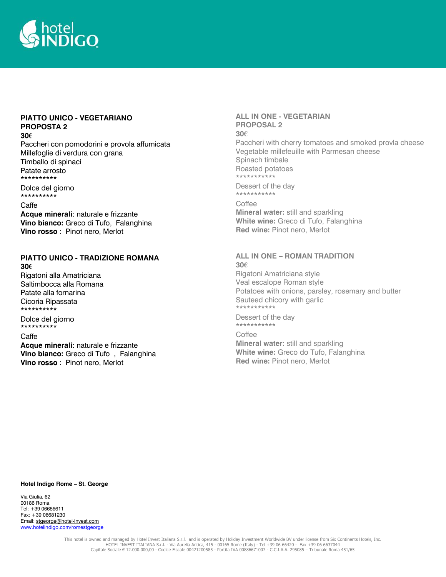

# **PIATTO UNICO - VEGETARIANO PROPOSTA 2**

#### **30€**

Paccheri con pomodorini e provola affumicata Millefoglie di verdura con grana Timballo di spinaci Patate arrosto \*\*\*\*\*\*\*\*\*\*

Dolce del giorno \*\*\*\*\*\*\*\*\*\*

#### Caffe

**Acque minerali**: naturale e frizzante **Vino bianco:** Greco di Tufo, Falanghina **Vino rosso** : Pinot nero, Merlot

#### **PIATTO UNICO - TRADIZIONE ROMANA 30€**

Rigatoni alla Amatriciana Saltimbocca alla Romana Patate alla fornarina Cicoria Ripassata \*\*\*\*\*\*\*\*\*\*

Dolce del giorno \*\*\*\*\*\*\*\*\*\*

### Caffe

**Acque minerali**: naturale e frizzante **Vino bianco:** Greco di Tufo , Falanghina **Vino rosso** : Pinot nero, Merlot

#### **ALL IN ONE - VEGETARIAN PROPOSAL 2 30€**

Paccheri with cherry tomatoes and smoked provla cheese Vegetable millefeuille with Parmesan cheese Spinach timbale Roasted potatoes \*\*\*\*\*\*\*\*\*\*\*

Dessert of the day \*\*\*\*\*\*\*\*\*\*\*

**Coffee Mineral water:** still and sparkling **White wine:** Greco di Tufo, Falanghina **Red wine:** Pinot nero, Merlot

#### **ALL IN ONE – ROMAN TRADITION 30€**

Rigatoni Amatriciana style Veal escalope Roman style Potatoes with onions, parsley, rosemary and butter Sauteed chicory with garlic \*\*\*\*\*\*\*\*\*\*\*

Dessert of the day \*\*\*\*\*\*\*\*\*\*\*

### **Coffee Mineral water:** still and sparkling **White wine:** Greco do Tufo, Falanghina **Red wine:** Pinot nero, Merlot

#### **Hotel Indigo Rome – St. George**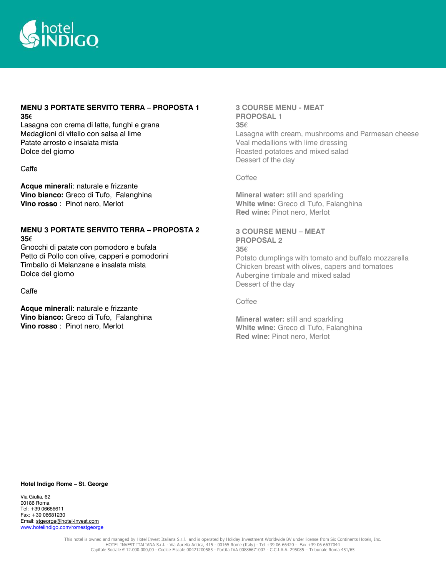

## **MENU 3 PORTATE SERVITO TERRA – PROPOSTA 1 35€**

Lasagna con crema di latte, funghi e grana Medaglioni di vitello con salsa al lime Patate arrosto e insalata mista Dolce del giorno

Caffe

**Acque minerali**: naturale e frizzante **Vino bianco:** Greco di Tufo, Falanghina **Vino rosso** : Pinot nero, Merlot

## **MENU 3 PORTATE SERVITO TERRA – PROPOSTA 2 35€**

Gnocchi di patate con pomodoro e bufala Petto di Pollo con olive, capperi e pomodorini Timballo di Melanzane e insalata mista Dolce del giorno

Caffe

**Acque minerali**: naturale e frizzante **Vino bianco:** Greco di Tufo, Falanghina **Vino rosso** : Pinot nero, Merlot

## **3 COURSE MENU - MEAT PROPOSAL 1 35€**  Lasagna with cream, mushrooms and Parmesan cheese Veal medallions with lime dressing Roasted potatoes and mixed salad Dessert of the day

Coffee

**Mineral water:** still and sparkling **White wine:** Greco di Tufo, Falanghina **Red wine:** Pinot nero, Merlot

### **3 COURSE MENU – MEAT PROPOSAL 2**

**35€**  Potato dumplings with tomato and buffalo mozzarella Chicken breast with olives, capers and tomatoes Aubergine timbale and mixed salad Dessert of the day

Coffee

**Mineral water:** still and sparkling **White wine:** Greco di Tufo, Falanghina **Red wine:** Pinot nero, Merlot

**Hotel Indigo Rome – St. George**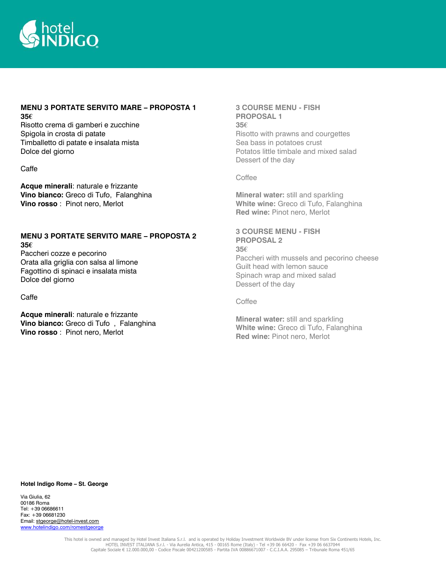

### **MENU 3 PORTATE SERVITO MARE – PROPOSTA 1 35€**

Risotto crema di gamberi e zucchine Spigola in crosta di patate Timballetto di patate e insalata mista Dolce del giorno

Caffe

**Acque minerali**: naturale e frizzante **Vino bianco:** Greco di Tufo, Falanghina **Vino rosso** : Pinot nero, Merlot

## **MENU 3 PORTATE SERVITO MARE – PROPOSTA 2 35€**

Paccheri cozze e pecorino Orata alla griglia con salsa al limone Fagottino di spinaci e insalata mista Dolce del giorno

Caffe

**Acque minerali**: naturale e frizzante **Vino bianco:** Greco di Tufo , Falanghina **Vino rosso** : Pinot nero, Merlot

## **3 COURSE MENU - FISH PROPOSAL 1 35€**  Risotto with prawns and courgettes Sea bass in potatoes crust Potatos little timbale and mixed salad Dessert of the day

Coffee

**Mineral water:** still and sparkling **White wine:** Greco di Tufo, Falanghina **Red wine:** Pinot nero, Merlot

# **3 COURSE MENU - FISH PROPOSAL 2**

**35€**  Paccheri with mussels and pecorino cheese Guilt head with lemon sauce Spinach wrap and mixed salad Dessert of the day

Coffee

**Mineral water:** still and sparkling **White wine:** Greco di Tufo, Falanghina **Red wine:** Pinot nero, Merlot

#### **Hotel Indigo Rome – St. George**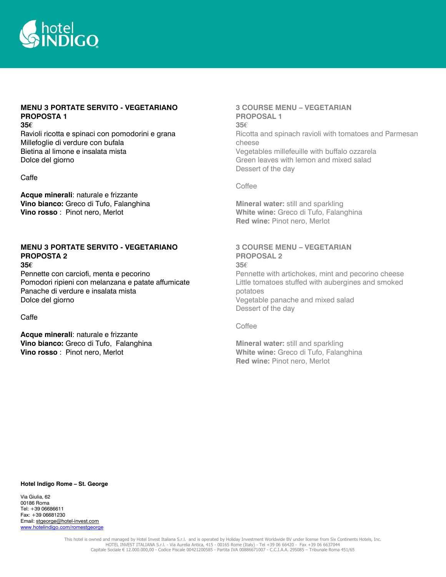

# **MENU 3 PORTATE SERVITO - VEGETARIANO PROPOSTA 1**

## **35€**

Ravioli ricotta e spinaci con pomodorini e grana Millefoglie di verdure con bufala Bietina al limone e insalata mista Dolce del giorno

### Caffe

**Acque minerali**: naturale e frizzante **Vino bianco:** Greco di Tufo, Falanghina **Vino rosso** : Pinot nero, Merlot

## **MENU 3 PORTATE SERVITO - VEGETARIANO PROPOSTA 2**

### **35€**

Pennette con carciofi, menta e pecorino Pomodori ripieni con melanzana e patate affumicate Panache di verdure e insalata mista Dolce del giorno

#### Caffe

**Acque minerali**: naturale e frizzante **Vino bianco:** Greco di Tufo, Falanghina **Vino rosso** : Pinot nero, Merlot

## **3 COURSE MENU – VEGETARIAN PROPOSAL 1 35€** Ricotta and spinach ravioli with tomatoes and Parmesan cheese Vegetables millefeuille with buffalo ozzarela Green leaves with lemon and mixed salad Dessert of the day

#### Coffee

**Mineral water:** still and sparkling **White wine:** Greco di Tufo, Falanghina **Red wine:** Pinot nero, Merlot

# **3 COURSE MENU – VEGETARIAN PROPOSAL 2 35€**

Pennette with artichokes, mint and pecorino cheese Little tomatoes stuffed with aubergines and smoked potatoes Vegetable panache and mixed salad Dessert of the day

Coffee

**Mineral water:** still and sparkling **White wine:** Greco di Tufo, Falanghina **Red wine:** Pinot nero, Merlot

#### **Hotel Indigo Rome – St. George**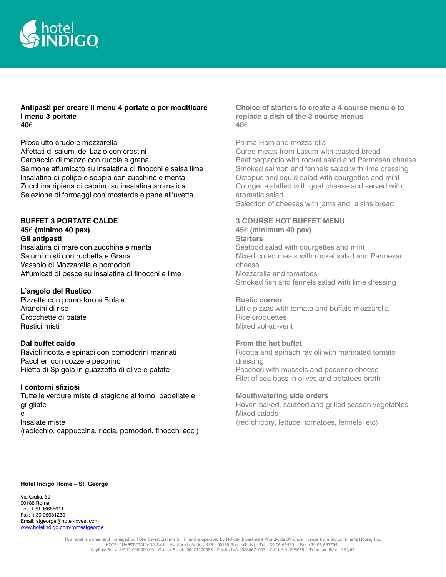

### **Antipasti per creare il menu 4 portate o per modificare i menu 3 portate 40€**

Prosciutto crudo e mozzarella Affettati di salumi del Lazio con crostini Carpaccio di manzo con rucola e grana Salmone affumicato su insalatina di finocchi e salsa lime Insalatina di polipo e seppia con zucchine e menta Zucchina ripiena di caprino su insalatina aromatica Selezione di formaggi con mostarde e pane all'uvetta

## **BUFFET 3 PORTATE CALDE**

**45€ (minimo 40 pax) Gli antipasti**

Insalatina di mare con zucchine e menta Salumi misti con ruchetta e Grana Vassoio di Mozzarella e pomodori Affumicati di pesce su insalatina di finocchi e lime

## **L'angolo del Rustico**

Pizzette con pomodoro e Bufala Arancini di riso Crocchette di patate Rustici misti

### **Dal buffet caldo**

Ravioli ricotta e spinaci con pomodorini marinati Paccheri con cozze e pecorino Filetto di Spigola in guazzetto di olive e patate

## **I contorni sfiziosi**

Tutte le verdure miste di stagione al forno, padellate e grigliate e Insalate miste (radicchio, cappuccina, riccia, pomodori, finocchi ecc ) **Choice of starters to create a 4 course menu o to replace a dish of the 3 course menus 40€**

### Parma Ham and mozzarella

Cured meats from Latium with toasted bread Beef carpaccio with rocket salad and Parmesan cheese Smoked salmon and fennels salad with lime dressing Octopus and squid salad with courgettes and mint Courgette staffed with goat cheese and served with aromatic salad Selection of cheeses with jams and raisins bread

## **3 COURSE HOT BUFFET MENU 45€ (minimum 40 pax)**

**Starters** Seafood salad with courgettes and mint Mixed cured meats with rocket salad and Parmesan cheese Mozzarella and tomatoes Smoked fish and fennels salad with lime dressing

#### **Rustic corner**

Little pizzas with tomato and buffalo mozzarella Rice croquettes Mixed vol-au-vent

## **From the hot buffet**

Ricotta and spinach ravioli with marinated tomato dressing Paccheri with mussels and pecorino cheese Filet of sea bass in olives and potatoes broth

**Mouthwatering side orders** Hoven baked, sautéed and grilled season vegetables Mixed salads (red chicory, lettuce, tomatoes, fennels, etc)

#### **Hotel Indigo Rome – St. George**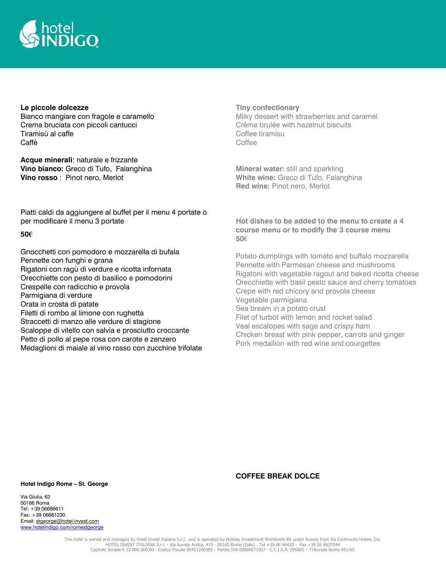

### **Le piccole dolcezze**

Bianco mangiare con fragole e caramello Crema bruciata con piccoli cantucci Tiramisù al caffe Caffè

**Acque minerali**: naturale e frizzante **Vino bianco:** Greco di Tufo, Falanghina **Vino rosso** : Pinot nero, Merlot

Piatti caldi da aggiungere al buffet per il menu 4 portate o per modificare il menu 3 portate

### **50€**

Gnocchetti con pomodoro e mozzarella di bufala Pennette con funghi e grana Rigatoni con ragù di verdure e ricotta infornata Orecchiette con pesto di basilico e pomodorini Crespelle con radicchio e provola Parmigiana di verdure Orata in crosta di patate Filetti di rombo al limone con rughetta Straccetti di manzo alle verdure di stagione Scaloppe di vitello con salvia e prosciutto croccante Petto di pollo al pepe rosa con carote e zenzero Medaglioni di maiale al vino rosso con zucchine trifolate

### **Tiny confectionary**

Milky dessert with strawberries and caramel Crème brulée with hazelnut biscuits Coffee tiramisu Coffee

**Mineral water:** still and sparkling **White wine:** Greco di Tufo, Falanghina **Red wine:** Pinot nero, Merlot

## **Hot dishes to be added to the menu to create a 4 course menu or to modify the 3 course menu 50€**

Potato dumplings with tomato and buffalo mozzarella Pennette with Parmesan cheese and mushrooms Rigatoni with vegetable ragout and baked ricotta cheese Orecchiette with basil pesto sauce and cherry tomatoes Crepe with red chicory and provola cheese Vegetable parmigiana Sea bream in a potato crust Filet of turbot with lemon and rocket salad Veal escalopes with sage and crispy ham Chicken breast with pink pepper, carrots and ginger Pork medallion with red wine and courgettes

#### **Hotel Indigo Rome – St. George**

Via Giulia, 62 00186 Roma Tel: +39 06686611 Fax: +39 06681230 Email: stgeorge@hotel-invest.com www.hotelindigo.com/romestgeorge

#### **COFFEE BREAK DOLCE**